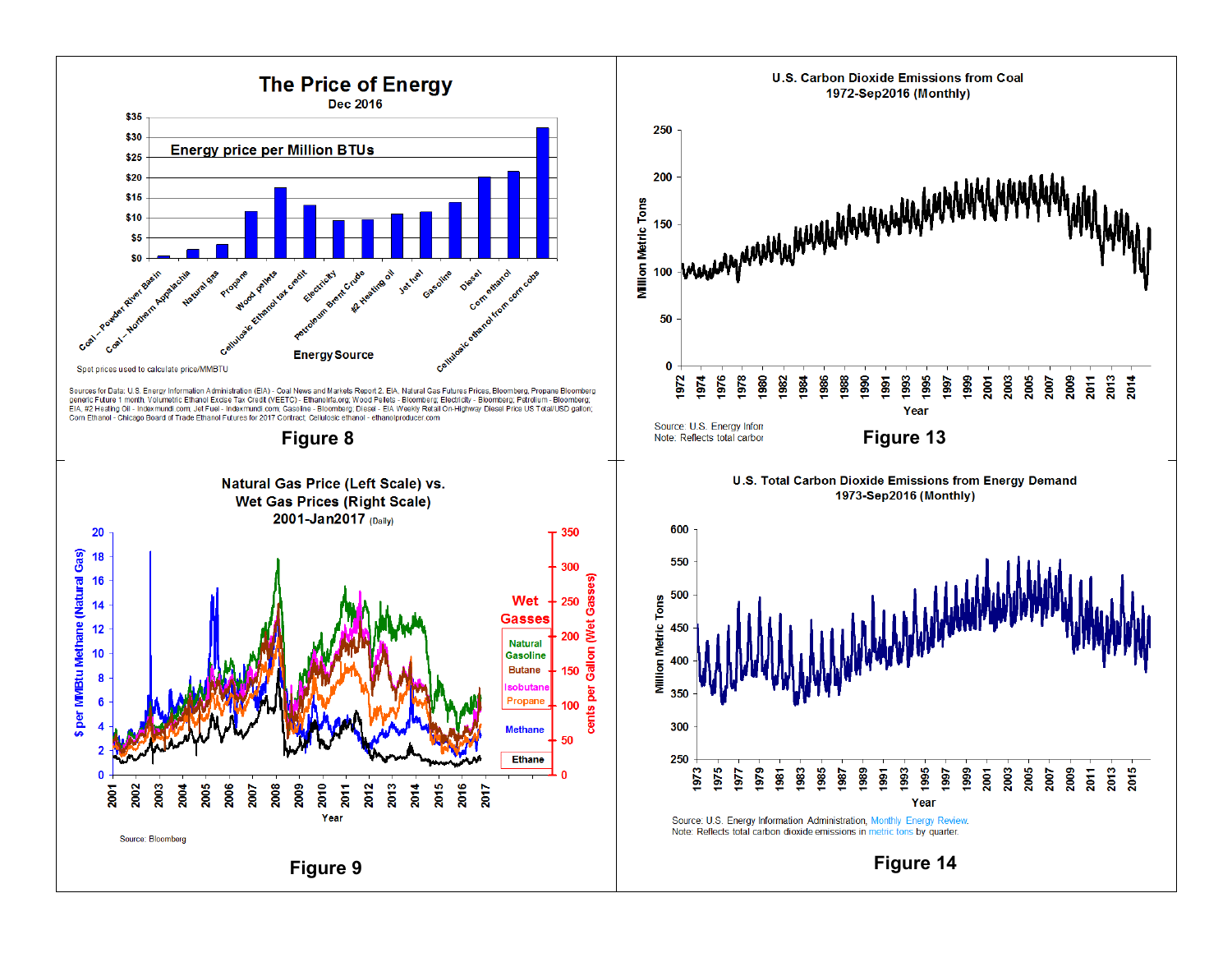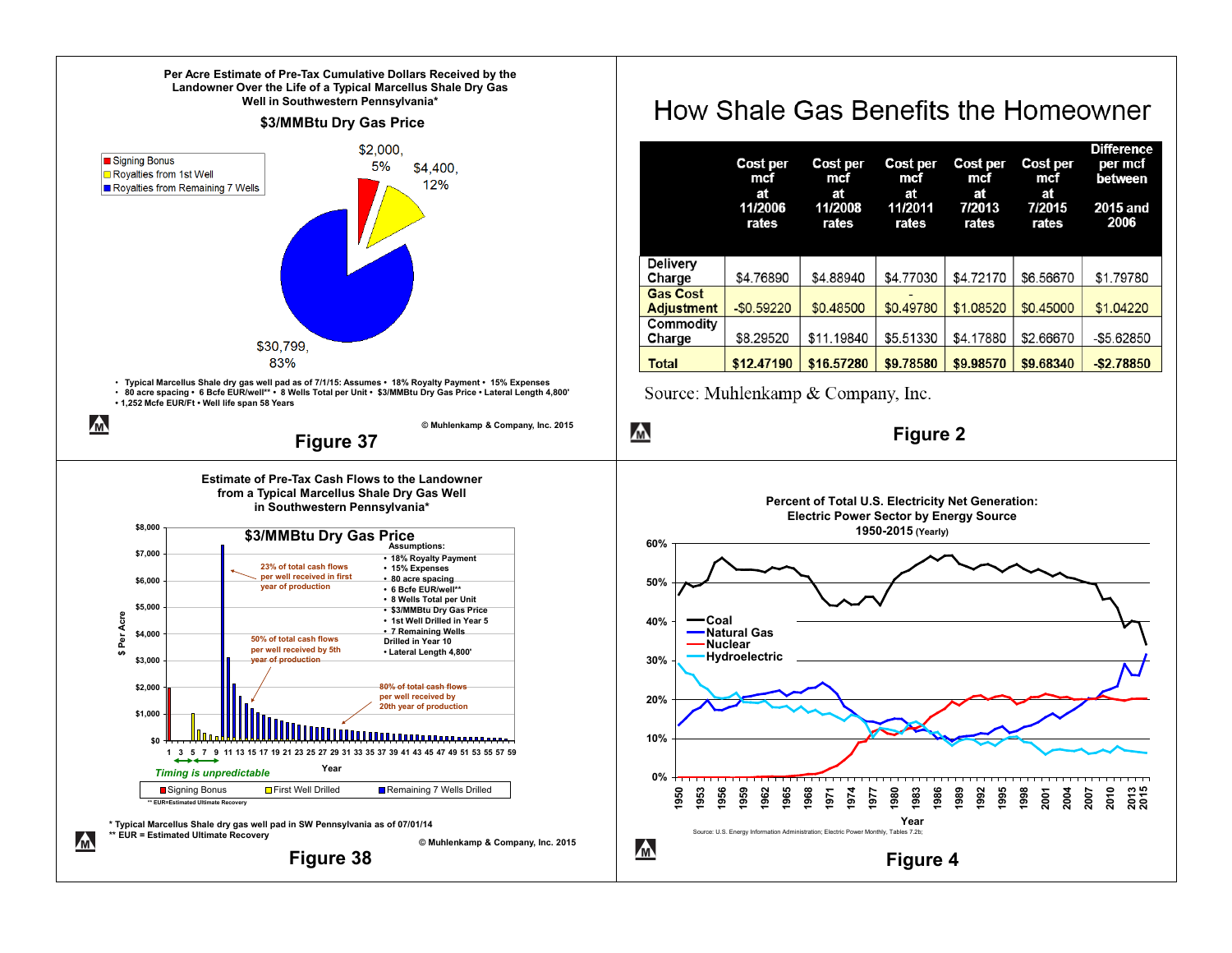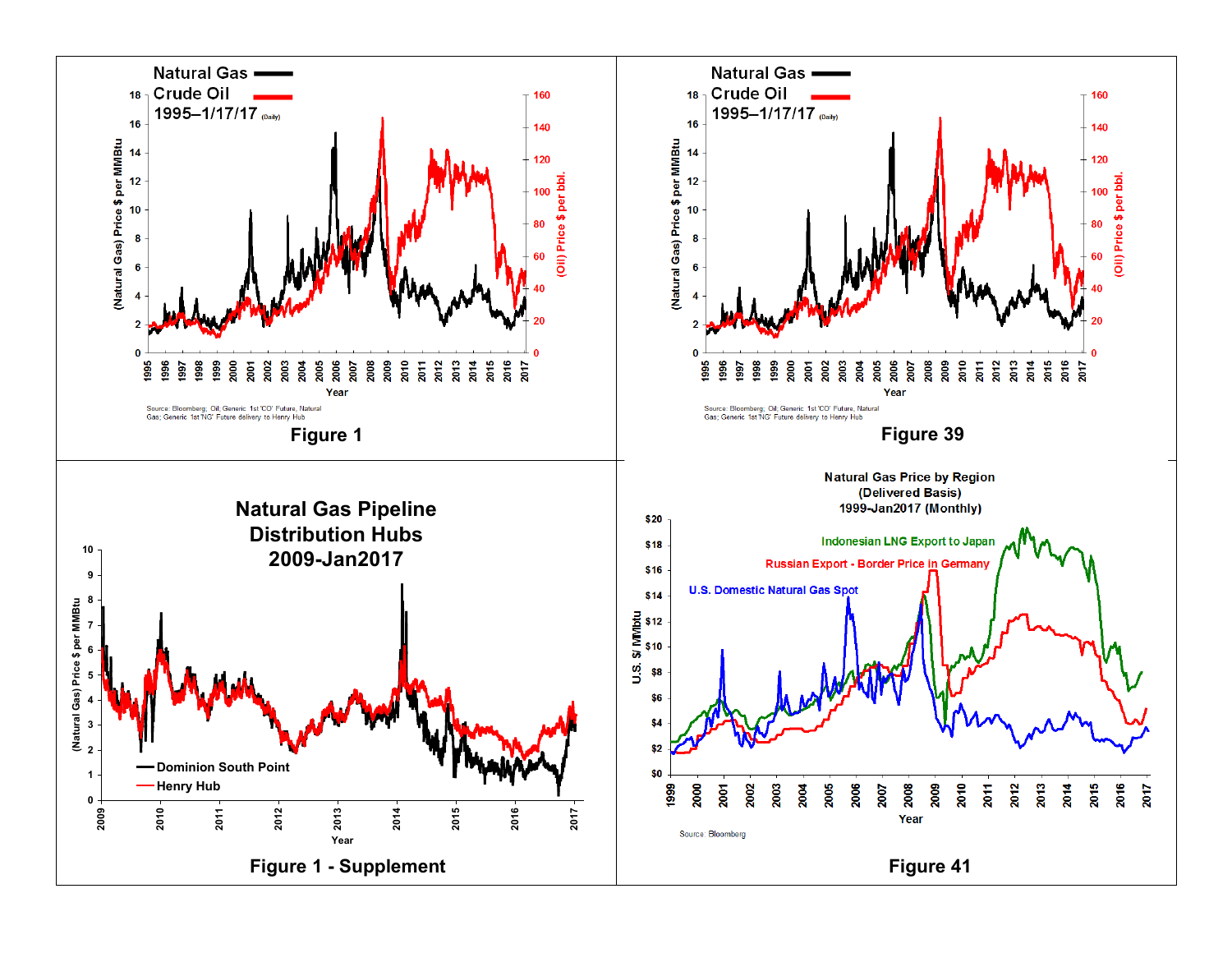